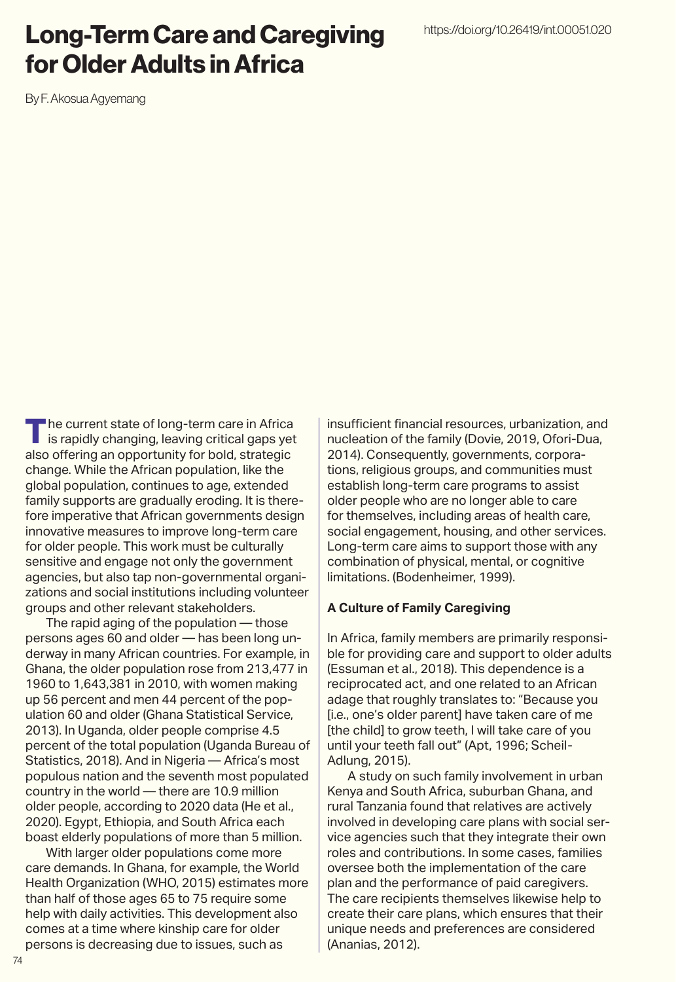# Long-Term Care and Caregiving for Older Adults in Africa

By F. Akosua Agyemang

The current state of long-term care in Africa is rapidly changing, leaving critical gaps yet also offering an opportunity for bold, strategic change. While the African population, like the global population, continues to age, extended family supports are gradually eroding. It is therefore imperative that African governments design innovative measures to improve long-term care for older people. This work must be culturally sensitive and engage not only the government agencies, but also tap non-governmental organizations and social institutions including volunteer groups and other relevant stakeholders.

The rapid aging of the population — those persons ages 60 and older — has been long underway in many African countries. For example, in Ghana, the older population rose from 213,477 in 1960 to 1,643,381 in 2010, with women making up 56 percent and men 44 percent of the population 60 and older (Ghana Statistical Service, 2013). In Uganda, older people comprise 4.5 percent of the total population (Uganda Bureau of Statistics, 2018). And in Nigeria — Africa's most populous nation and the seventh most populated country in the world — there are 10.9 million older people, according to 2020 data (He et al., 2020). Egypt, Ethiopia, and South Africa each boast elderly populations of more than 5 million.

With larger older populations come more care demands. In Ghana, for example, the World Health Organization (WHO, 2015) estimates more than half of those ages 65 to 75 require some help with daily activities. This development also comes at a time where kinship care for older persons is decreasing due to issues, such as

insufficient financial resources, urbanization, and nucleation of the family (Dovie, 2019, Ofori-Dua, 2014). Consequently, governments, corporations, religious groups, and communities must establish long-term care programs to assist older people who are no longer able to care for themselves, including areas of health care, social engagement, housing, and other services. Long-term care aims to support those with any combination of physical, mental, or cognitive limitations. (Bodenheimer, 1999).

#### **A Culture of Family Caregiving**

In Africa, family members are primarily responsible for providing care and support to older adults (Essuman et al., 2018). This dependence is a reciprocated act, and one related to an African adage that roughly translates to: "Because you [i.e., one's older parent] have taken care of me [the child] to grow teeth, I will take care of you until your teeth fall out" (Apt, 1996; Scheil-Adlung, 2015).

A study on such family involvement in urban Kenya and South Africa, suburban Ghana, and rural Tanzania found that relatives are actively involved in developing care plans with social service agencies such that they integrate their own roles and contributions. In some cases, families oversee both the implementation of the care plan and the performance of paid caregivers. The care recipients themselves likewise help to create their care plans, which ensures that their unique needs and preferences are considered (Ananias, 2012).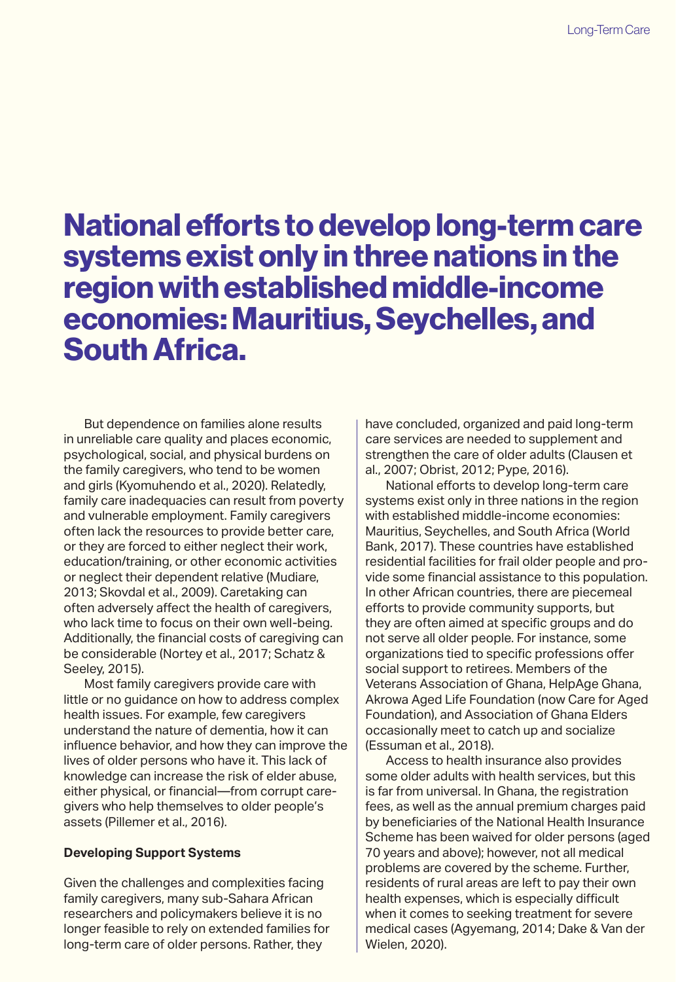# National efforts to develop long-term care systems exist only in three nations in the region with established middle-income economies: Mauritius, Seychelles, and South Africa.

But dependence on families alone results in unreliable care quality and places economic, psychological, social, and physical burdens on the family caregivers, who tend to be women and girls (Kyomuhendo et al., 2020). Relatedly, family care inadequacies can result from poverty and vulnerable employment. Family caregivers often lack the resources to provide better care, or they are forced to either neglect their work, education/training, or other economic activities or neglect their dependent relative (Mudiare, 2013; Skovdal et al., 2009). Caretaking can often adversely affect the health of caregivers, who lack time to focus on their own well-being. Additionally, the financial costs of caregiving can be considerable (Nortey et al., 2017; Schatz & Seeley, 2015).

Most family caregivers provide care with little or no guidance on how to address complex health issues. For example, few caregivers understand the nature of dementia, how it can influence behavior, and how they can improve the lives of older persons who have it. This lack of knowledge can increase the risk of elder abuse, either physical, or financial—from corrupt caregivers who help themselves to older people's assets (Pillemer et al., 2016).

#### **Developing Support Systems**

Given the challenges and complexities facing family caregivers, many sub-Sahara African researchers and policymakers believe it is no longer feasible to rely on extended families for long-term care of older persons. Rather, they

have concluded, organized and paid long-term care services are needed to supplement and strengthen the care of older adults (Clausen et al., 2007; Obrist, 2012; Pype, 2016).

National efforts to develop long-term care systems exist only in three nations in the region with established middle-income economies: Mauritius, Seychelles, and South Africa (World Bank, 2017). These countries have established residential facilities for frail older people and provide some financial assistance to this population. In other African countries, there are piecemeal efforts to provide community supports, but they are often aimed at specific groups and do not serve all older people. For instance, some organizations tied to specific professions offer social support to retirees. Members of the Veterans Association of Ghana, HelpAge Ghana, Akrowa Aged Life Foundation (now Care for Aged Foundation), and Association of Ghana Elders occasionally meet to catch up and socialize (Essuman et al., 2018).

Access to health insurance also provides some older adults with health services, but this is far from universal. In Ghana, the registration fees, as well as the annual premium charges paid by beneficiaries of the National Health Insurance Scheme has been waived for older persons (aged 70 years and above); however, not all medical problems are covered by the scheme. Further, residents of rural areas are left to pay their own health expenses, which is especially difficult when it comes to seeking treatment for severe medical cases (Agyemang, 2014; Dake & Van der Wielen, 2020).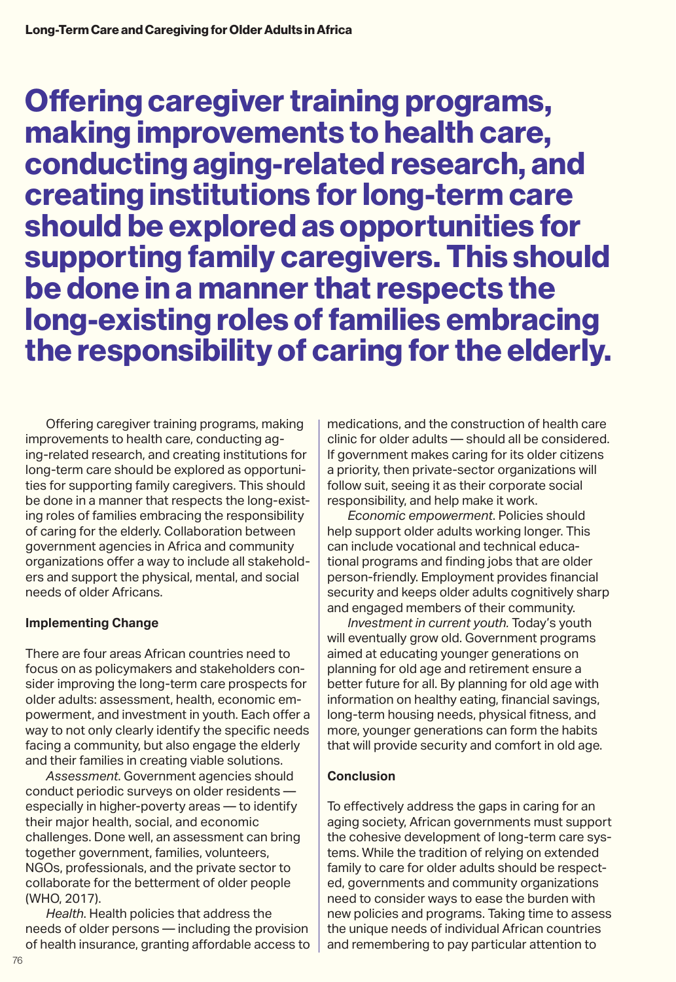Offering caregiver training programs, making improvements to health care, conducting aging-related research, and creating institutions for long-term care should be explored as opportunities for supporting family caregivers. This should be done in a manner that respects the long-existing roles of families embracing the responsibility of caring for the elderly.

Offering caregiver training programs, making improvements to health care, conducting aging-related research, and creating institutions for long-term care should be explored as opportunities for supporting family caregivers. This should be done in a manner that respects the long-existing roles of families embracing the responsibility of caring for the elderly. Collaboration between government agencies in Africa and community organizations offer a way to include all stakeholders and support the physical, mental, and social needs of older Africans.

## **Implementing Change**

There are four areas African countries need to focus on as policymakers and stakeholders consider improving the long-term care prospects for older adults: assessment, health, economic empowerment, and investment in youth. Each offer a way to not only clearly identify the specific needs facing a community, but also engage the elderly and their families in creating viable solutions.

*Assessment*. Government agencies should conduct periodic surveys on older residents especially in higher-poverty areas — to identify their major health, social, and economic challenges. Done well, an assessment can bring together government, families, volunteers, NGOs, professionals, and the private sector to collaborate for the betterment of older people (WHO, 2017).

*Health*. Health policies that address the needs of older persons — including the provision of health insurance, granting affordable access to medications, and the construction of health care clinic for older adults — should all be considered. If government makes caring for its older citizens a priority, then private-sector organizations will follow suit, seeing it as their corporate social responsibility, and help make it work.

*Economic empowerment*. Policies should help support older adults working longer. This can include vocational and technical educational programs and finding jobs that are older person-friendly. Employment provides financial security and keeps older adults cognitively sharp and engaged members of their community.

*Investment in current youth.* Today's youth will eventually grow old. Government programs aimed at educating younger generations on planning for old age and retirement ensure a better future for all. By planning for old age with information on healthy eating, financial savings, long-term housing needs, physical fitness, and more, younger generations can form the habits that will provide security and comfort in old age.

## **Conclusion**

To effectively address the gaps in caring for an aging society, African governments must support the cohesive development of long-term care systems. While the tradition of relying on extended family to care for older adults should be respected, governments and community organizations need to consider ways to ease the burden with new policies and programs. Taking time to assess the unique needs of individual African countries and remembering to pay particular attention to